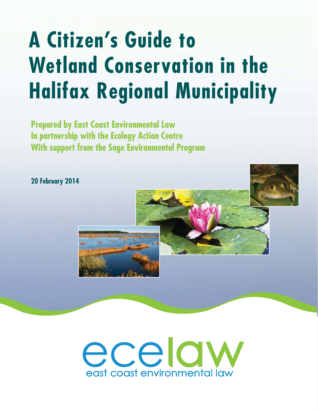# **A Citizen's Guide to Wetland Conservation in the Halifax Regional Municipality**

**Prepared by East Coast Environmental Law In partnership with the Ecology Action Centre With support from the Sage Environmental Program**

**20 February 2014**

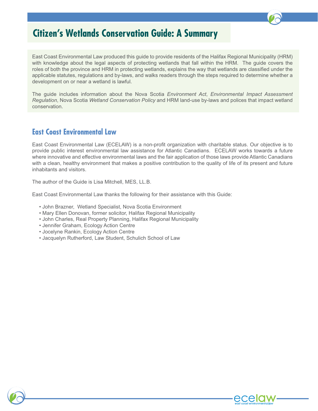## **Citizen's Wetlands Conservation Guide: A Summary**

East Coast Environmental Law produced this guide to provide residents of the Halifax Regional Municipality (HRM) with knowledge about the legal aspects of protecting wetlands that fall within the HRM. The guide covers the roles of both the province and HRM in protecting wetlands, explains the way that wetlands are classified under the applicable statutes, regulations and by-laws, and walks readers through the steps required to determine whether a development on or near a wetland is lawful.

The guide includes information about the Nova Scotia *Environment Act*, *Environmental Impact Assessment Regulation*, Nova Scotia *Wetland Conservation Policy* and HRM land-use by-laws and polices that impact wetland conservation.

### **East Coast Environmental Law**

East Coast Environmental Law (ECELAW) is a non-profit organization with charitable status. Our objective is to provide public interest environmental law assistance for Atlantic Canadians. ECELAW works towards a future where innovative and effective environmental laws and the fair application of those laws provide Atlantic Canadians with a clean, healthy environment that makes a positive contribution to the quality of life of its present and future inhabitants and visitors.

The author of the Guide is Lisa Mitchell, MES, LL.B.

East Coast Environmental Law thanks the following for their assistance with this Guide:

- John Brazner, Wetland Specialist, Nova Scotia Environment
- Mary Ellen Donovan, former solicitor, Halifax Regional Municipality
- John Charles, Real Property Planning, Halifax Regional Municipality
- Jennifer Graham, Ecology Action Centre
- Jocelyne Rankin, Ecology Action Centre
- Jacquelyn Rutherford, Law Student, Schulich School of Law

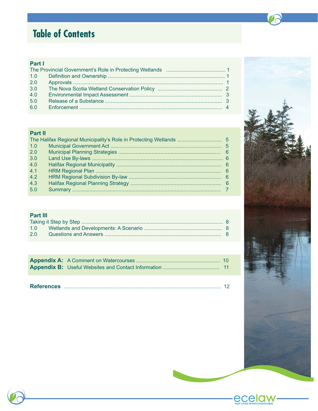# **Table of Contents**

### Part I

### Part II

| 1.0 |  |
|-----|--|
| 2.0 |  |
| 3.0 |  |
| 4.0 |  |
| 4.1 |  |
| 4.2 |  |
| 4.3 |  |
| 5.0 |  |
|     |  |

### Part III

| 2.0 |  |
|-----|--|





east coast environmente

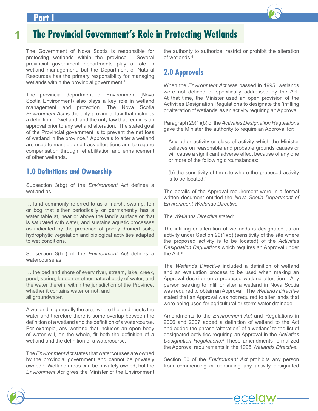### **Part I**



The Government of Nova Scotia is responsible for protecting wetlands within the province. Several provincial government departments play a role in wetland management, but the Department of Natural Resources has the primary responsibility for managing wetlands within the provincial government.<sup>1</sup>

The provincial department of Environment (Nova Scotia Environment) also plays a key role in wetland management and protection. The Nova Scotia *Environment Act* is the only provincial law that includes a definition of 'wetland' and the only law that requires an approval prior to any wetland alteration. The stated goal of the Provincial government is to prevent the net loss of wetland in the province.<sup>2</sup> Approvals to alter a wetland are used to manage and track alterations and to require compensation through rehabilitation and enhancement of other wetlands.

### **1.0 Definitions and Ownership**

Subsection 3(bg) of the *Environment Act* wetland as

… land commonly referred to as a marsh, swamp, fen or bog that either periodically or permanently has a water table at, near or above the land's surface or that is saturated with water, and sustains aquatic processes as indicated by the presence of poorly drained soils, hydrophytic vegetation and biological activities adapted to wet conditions.

Subsection 3(be) of the *Environment Act* watercourse as

… the bed and shore of every river, stream, lake, creek, creek, pond, spring, lagoon or other natural body of water, and the water therein, within the jurisdiction of the Province, whether it contains water or not, and all groundwater.

A wetland is generally the area where the land meets the water and therefore there is some overlap between the definition of a wetland and the definition of a watercourse. For example, any wetland that includes an open body of water will, on the whole, fit both the definition of a wetland and the definition of a watercourse.

The *Environment Act* states that watercourses are owned by the provincial government and cannot be privately owned.3 Wetland areas can be privately owned, but the *Environment Act* gives the Minister of the Environment

the authority to authorize, restrict or prohibit the alteration of wetlands.4

### **2.0 Approvals**

When the *Environment Act* was passed in 1995, wetlands were not defined or specifically addressed by the Act. At that time, the Minister used an open provision of the Activities Designation Regulations to designate the 'infilling or alteration of wetlands' as an activity requiring an Approval.

Paragraph 29(1)(b) of the Activities Designation Regulations gave the Minister the authority to require an Approval for:

Any other activity or class of activity which the Minister believes on reasonable and probable grounds causes or will cause a significant adverse effect because of any one or more of the following circumstances:

(b) the sensitivity of the site where the proposed activity is to be located;<sup>5</sup>

The details of the Approval requirement were in a formal written document entitled the *Nova Scotia Department of Environment Wetlands Directive*.

The *Wetlands Directive* stated:

The infilling or alteration of wetlands is designated as an activity under Section  $29(1)(b)$  (sensitivity of the site where the proposed activity is to be located) of the *Activities Designation Regulations* which requires an Approval under the Act.<sup>6</sup>

The *Wetlands Directive* and an evaluation process to be used when making an Approval decision on a proposed wetland alteration. Any person seeking to infill or alter a wetland in Nova Scotia was required to obtain an Approval. The *Wetlands Directive* stated that an Approval was not required to alter lands that were being used for agricultural or storm water drainage.

Amendments to the *Environment Act* and Regulations in 2006 and 2007 added a definition of wetland to the Act and added the phrase 'alteration<sup>7</sup> of a wetland' to the list of designated activities requiring an Approval in the *Activities*  Designation Regulations.<sup>8</sup> These amendments formalized the Approval requirements in the 1995 Wetlands Directive.

Section 50 of the *Environment Act* prohibits any person from commencing or continuing any activity designated



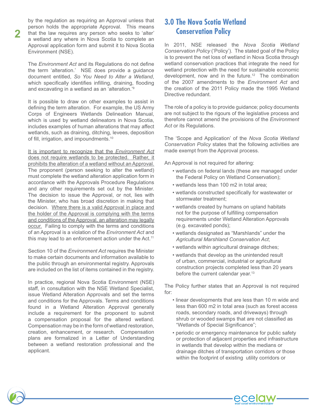by the regulation as requiring an Approval unless that person holds the appropriate Approval. This means that the law requires any person who seeks to 'alter' a wetland any where in Nova Scotia to complete an Approval application form and submit it to Nova Scotia Environment (NSE).

**2**

The *Environment Act* the term 'alteration.' NSE does provide a guidance document entitled, *So You Need to Alter a Wetland*, which specifically identifies infilling, draining, flooding and excavating in a wetland as an 'alteration.'<sup>9</sup>

It is possible to draw on other examples to assist in defining the term alteration. For example, the US Army Corps of Engineers Wetlands Delineation Manual, which is used by wetland delineators in Nova Scotia, includes examples of human alterations that may affect wetlands, such as draining, ditching, levees, deposition of fill, irrigation, and impoundments.<sup>10</sup>

It is important to recognize that the *Environment Act* does not require wetlands to be protected. Rather, it prohibits the alteration of a wetland without an Approval. The proponent (person seeking to alter the wetland) must complete the wetland alteration application form in accordance with the Approvals Procedure Regulations and any other requirements set out by the Minister. The decision to issue the Approval, or not, lies with the Minister, who has broad discretion in making that decision. Where there is a valid Approval in place and the holder of the Approval is complying with the terms and conditions of the Approval, an alteration may legally occur. Failing to comply with the terms and conditions of an Approval is a violation of the *Environment Act* and this may lead to an enforcement action under the Act.<sup>11</sup>

Section 10 of the *Environment Act* requires the Minister to make certain documents and information available to the public through an environmental registry. Approvals are included on the list of items contained in the registry.

In practice, regional Nova Scotia Environment (NSE) staff, in consultation with the NSE Wetland Specialist, issue Wetland Alteration Approvals and set the terms and conditions for the Approvals. Terms and conditions found in a Wetland Alteration Approval generally include a requirement for the proponent to submit a compensation proposal for the altered wetland. Compensation may be in the form of wetland restoration, creation, enhancement, or research. Compensation plans are formalized in a Letter of Understanding between a wetland restoration professional and the applicant.

### **3.0 The Nova Scotia Wetland Conservation Policy**

In 2011, NSE released the Nova Scotia Wetland Conservation Policy ('Policy'). The stated goal of the Policy is to prevent the net loss of wetland in Nova Scotia through wetland conservation practices that integrate the need for wetland protection with the need for sustainable economic development, now and in the future.<sup>12</sup> The combination of the 2007 amendments to the *Environment Act* and the creation of the 2011 Policy made the 1995 Wetland Directive redundant.

The role of a policy is to provide guidance; policy documents are not subject to the rigours of the legislative process and therefore cannot amend the provisions of the *Environment*  Act or its Regulations.

The 'Scope and Application' of the Nova Scotia Wetland *Conservation Policy* states that the following activities are made exempt from the Approval process.

An Approval is not required for altering:

- wetlands on federal lands (these are managed under the Federal Policy on Wetland Conservation);
- wetlands less than 100 m2 in total area;
- wetlands constructed specifically for wastewater or stormwater treatment;
- wetlands created by humans on upland habitats not for the purpose of fulfilling compensation requirements under Wetland Alteration Approvals (e.g. excavated ponds);
- 9 wetlands designated as "Marshlands" under the *Agricultural Marshland Conservation Act*;
- wetlands within agricultural drainage ditches;
- wetlands that develop as the unintended result of urban, commercial, industrial or agricultural construction projects completed less than 20 years before the current calendar year. $13$

The Policy further states that an Approval is not required for:

- linear developments that are less than 10 m wide and less than 600 m2 in total area (such as forest access roads, secondary roads, and driveways) through shrub or wooded swamps that are not classified as "Wetlands of Special Significance";
- periodic or emergency maintenance for public safety or protection of adjacent properties and infrastructure in wetlands that develop within the medians or drainage ditches of transportation corridors or those within the footprint of existing utility corridors or

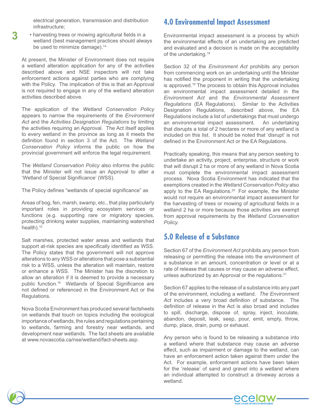electrical generation, transmission and distribution infrastructure;

• harvesting trees or mowing agricultural fields in a wetland (best management practices should always be used to minimize damage).<sup>14</sup>

At present, the Minister of Environment does not require a wetland alteration application for any of the activities described above and NSE inspectors will not take enforcement actions against parties who are complying with the Policy. The implication of this is that an Approval is not required to engage in any of the wetland alteration activities described above.

The application of the *Wetland Conservation Policy*  appears to narrow the requirements of the *Environment Act* and the *Activities Designation Regulations* by limiting the activities requiring an Approval. The Act itself applies to every wetland in the province as long as it meets the definition found in section 3 of the Act. The Wetland *Conservation Policy* informs the public on how the provincial government will enforce the legal requirement.

The *Wetland Conservation Policy* also informs the public that the Minister will not issue an Approval to alter a 'Wetland of Special Significance' (WSS).

The Policy defines "wetlands of special significance" as

Areas of bog, fen, marsh, swamp, etc., that play particularly important roles in providing ecosystem services or functions (e.g. supporting rare or migratory species, protecting drinking water supplies, maintaining watershed health). $15$ 

Salt marshes, protected water areas and wetlands that support at-risk species are specifically identified as WSS. The Policy states that the government will not approve alterations to any WSS or alterations that pose a substantial risk to a WSS, unless the alteration will maintain, restore or enhance a WSS. The Minister has the discretion to allow an alteration if it is deemed to provide a necessary public function.<sup>16</sup> Wetlands of Special Significance are not defined or referenced in the Environment Act or the Regulations.

Nova Scotia Environment has produced several factsheets on wetlands that touch on topics including the ecological importance of wetlands, the rules and regulations pertaining to wetlands, farming and forestry near wetlands, and development near wetlands. The fact sheets are available at www.novascotia.ca/nse/wetland/fact-sheets.asp.

### **4.0 Environmental Impact Assessment**

Environmental impact assessment is a process by which the environmental effects of an undertaking are predicted and evaluated and a decision is made on the acceptability of the undertaking.<sup>18</sup>

Section 32 of the *Environment Act* prohibits any person from commencing work on an undertaking until the Minister has notified the proponent in writing that the undertaking is approved.<sup>19</sup> The process to obtain this Approval includes an environmental impact assessment detailed in the *Environment Act* and the *Environmental Assessment Regulations* (EA Regulations). Similar to the Activities Designation Regulations, described above, the EA Regulations include a list of undertakings that must undergo an environmental impact assessment. An undertaking that disrupts a total of 2 hectares or more of any wetland is included on this list. It should be noted that 'disrupt' is not defined in the Environment Act or the EA Regulations.

Practically speaking, this means that any person seeking to undertake an activity, project, enterprise, structure or work that will disrupt 2 ha or more of any wetland in Nova Scotia must complete the environmental impact assessment process. Nova Scotia Environment has indicated that the exemptions created in the *Wetland Conservation Policy* also apply to the EA Regulations.<sup>20</sup> For example, the Minister would not require an environmental impact assessment for the harvesting of trees or mowing of agricultural fields in a wetland 2 ha or more because those activities are exempt from approval requirements by the *Wetland Conservation Policy.*

### **5.0 Release of a Substance**

Section 67 of the *Environment Act* prohibits any person from releasing or permitting the release into the environment of a substance in an amount, concentration or level or at a rate of release that causes or may cause an adverse effect, unless authorized by an Approval or the regulations. $21$ 

Section 67 applies to the release of a substance into any part of the environment, including a wetland. *The Environment*  Act includes a very broad definition of substance. The definition of release in the Act is also broad and includes to spill, discharge, dispose of, spray, inject, inoculate, abandon, deposit, leak, seep, pour, emit, empty, throw, dump, place, drain, pump or exhaust.

Any person who is found to be releasing a substance into a wetland where that substance may cause an adverse effect, such as impairment or damage to the wetland, can have an enforcement action taken against them under the Act. For example, enforcement actions have been taken for the 'release' of sand and gravel into a wetland where an individual attempted to construct a driveway across a wetland.



**3**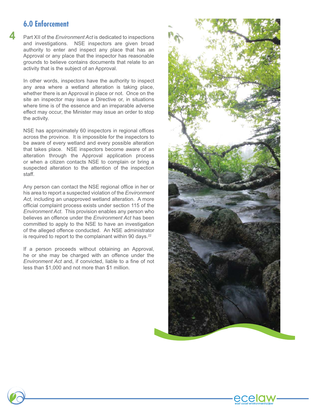### **6.0 Enforcement**

**4**

Part XII of the *Environment Act* is dedicated to inspections and investigations. NSE inspectors are given broad authority to enter and inspect any place that has an Approval or any place that the inspector has reasonable grounds to believe contains documents that relate to an activity that is the subject of an Approval.

In other words, inspectors have the authority to inspect any area where a wetland alteration is taking place, whether there is an Approval in place or not. Once on the site an inspector may issue a Directive or, in situations where time is of the essence and an irreparable adverse effect may occur, the Minister may issue an order to stop the activity.

NSE has approximately 60 inspectors in regional offices across the province. It is impossible for the inspectors to be aware of every wetland and every possible alteration that takes place. NSE inspectors become aware of an alteration through the Approval application process or when a citizen contacts NSE to complain or bring a suspected alteration to the attention of the inspection staff.

Any person can contact the NSE regional office in her or his area to report a suspected violation of the *Environment Act,* including an unapproved wetland alteration. A more official complaint process exists under section 115 of the *Environment Act*. This provision enables any person who believes an offence under the *Environment Act* has been committed to apply to the NSE to have an investigation of the alleged offence conducted. An NSE administrator is required to report to the complainant within 90 days.<sup>22</sup>

If a person proceeds without obtaining an Approval, he or she may be charged with an offence under the *Environment Act* less than \$1,000 and not more than \$1 million.





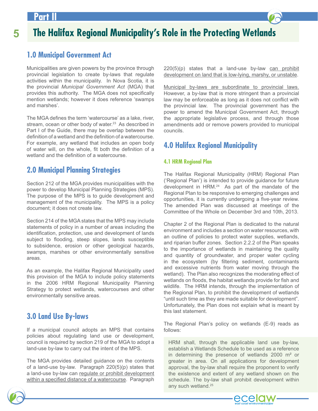### **Par**

# **5 The Halifax Regional Municipality's Role in the Protecting Wetlands**

### **1.0 Municipal Government Act**

Municipalities are given powers by the province through provincial legislation to create by-laws that regulate activities within the municipality. In Nova Scotia, it is the provincial *Municipal Government Act* (MGA) that provides this authority. The MGA does not specifically mention wetlands; however it does reference 'swamps and marshes'.

The MGA defines the term 'watercourse' as a lake, river, stream, ocean or other body of water.<sup>23</sup> As described in Part I of the Guide, there may be overlap between the definition of a wetland and the definition of a watercourse. For example, any wetland that includes an open body of water will, on the whole, fit both the definition of a wetland and the definition of a watercourse.

### **2.0 Municipal Planning Strategies**

Section 212 of the MGA provides municipalities with the power to develop Municipal Planning Strategies (MPS). The purpose of the MPS is to guide development and management of the municipality. The MPS is a policy document; it does not create law.

Section 214 of the MGA states that the MPS may include statements of policy in a number of areas including the identification, protection, use and development of lands subject to flooding, steep slopes, lands susceptible to subsidence, erosion or other geological hazards, swamps, marshes or other environmentally sensitive areas.

As an example, the Halifax Regional Municipality used this provision of the MGA to include policy statements in the 2006 HRM Regional Municipality Planning Strategy to protect wetlands, watercourses and other environmentally sensitive areas.

### **3.0 Land Use By-laws**

If a municipal council adopts an MPS that contains policies about regulating land use or development, council is required by section 219 of the MGA to adopt a land-use by-law to carry out the intent of the MPS.

The MGA provides detailed guidance on the contents of a land-use by-law. Paragraph  $220(5)(p)$  states that a land-use by-law can regulate or prohibit development within a specified distance of a watercourse. Paragraph

 $220(5)(p)$  states that a land-use by-law  $can$  prohibit development on land that is low-lying, marshy, or unstable.

Municipal by-laws are subordinate to provincial laws. However, a by-law that is more stringent than a provincial law may be enforceable as long as it does not conflict with the provincial law. The provincial government has the power to amend the Municipal Government Act, through the appropriate legislative process, and through those amendments add or remove powers provided to municipal councils.

### **4.0 Halifax Regional Municipality**

#### **4.1 HRM Regional Plan**

The Halifax Regional Municipality (HRM) Regional Plan ('Regional Plan') is intended to provide guidance for future development in HRM.24 As part of the mandate of the Regional Plan to be responsive to emerging challenges and opportunities, it is currently undergoing a five-year review. The amended Plan was discussed at meetings of the Committee of the Whole on December 3rd and 10th, 2013.

Chapter 2 of the Regional Plan is dedicated to the natural environment and includes a section on water resources, with an outline of policies to protect water supplies, wetlands, and riparian buffer zones. Section 2.2.2 of the Plan speaks to the importance of wetlands in maintaining the quality and quantity of groundwater, and proper water cycling in the ecosystem (by filtering sediment, contaminants and excessive nutrients from water moving through the wetland). The Plan also recognizes the moderating effect of wetlands on floods, the habitat wetlands provide for fish and wildlife. The HRM intends, through the implementation of the Regional Plan, to prohibit the development of wetlands "until such time as they are made suitable for development". Unfortunately, the Plan does not explain what is meant by this last statement.

The Regional Plan's policy on wetlands (E-9) reads as follows:

HRM shall, through the applicable land use by-law, establish a Wetlands Schedule to be used as a reference in determining the presence of wetlands 2000  $m<sup>2</sup>$  or greater in area. On all applications for development approval, the by-law shall require the proponent to verify the existence and extent of any wetland shown on the the schedule. The by-law shall prohibit development within any such wetland.<sup>25</sup>

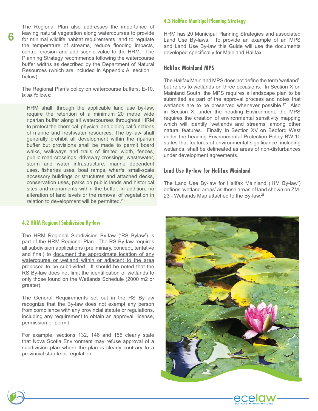The Regional Plan also addresses the importance of leaving natural vegetation along watercourses to provide for minimal wildlife habitat requirements, and to regulate the temperature of streams, reduce flooding impacts, control erosion and add scenic value to the HRM. The Planning Strategy recommends following the watercourse buffer widths as described by the Department of Natural Resources (which are included in Appendix A, section 1 below).

**6**

The Regional Plan's policy on watercourse buffers, E-10, is as follows:

HRM shall, through the applicable land use by-law, require the retention of a minimum 20 metre wide riparian buffer along all watercourses throughout HRM to protect the chemical, physical and biological functions of marine and freshwater resources. The by-law shall generally prohibit all development within the riparian buffer but provisions shall be made to permit board walks, walkways and trails of limited width, fences, public road crossings, driveway crossings, wastewater, storm and water infrastructure, marine dependent uses, fisheries uses, boat ramps, wharfs, small-scale accessory buildings or structures and attached decks, conservation uses, parks on public lands and historical sites and monuments within the buffer. In addition, no alteration of land levels or the removal of vegetation in relation to development will be permitted.26

#### **4.2 HRM Regional Subdivision By-law**

The HRM Regional Subdivision By-law ('RS Bylaw') is part of the HRM Regional Plan. The RS By-law requires all subdivision applications (preliminary, concept, tentative and final) to document the approximate location of any watercourse or wetland within or adjacent to the area proposed to be subdivided. It should be noted that the RS By-law does not limit the identification of wetlands to only those found on the Wetlands Schedule (2000 m2 or greater).

The General Requirements set out in the RS By-law recognize that the By-law does not exempt any person from compliance with any provincial statute or regulations, including any requirement to obtain an approval, license, permission or permit.

For example, sections 132, 146 and 155 clearly state that Nova Scotia Environment may refuse approval of a subdivision plan where the plan is clearly contrary to a provincial statute or regulation.

#### **4.3 Halifax Municipal Planning Strategy**

HRM has 20 Municipal Planning Strategies and associated Land Use By-laws. To provide an example of an MPS and Land Use By-law this Guide will use the documents developed specifically for Mainland Halifax.

#### **Halifax Mainland MPS**

The Halifax Mainland MPS does not define the term 'wetland', but refers to wetlands on three occasions. In Section X on Mainland South, the MPS requires a landscape plan to be submitted as part of the approval process and notes that wetlands are to be preserved whenever possible. $27$  Also in Section X, under the heading Environment, the MPS requires the creation of environmental sensitivity mapping which will identify 'wetlands and streams' among other natural features. Finally, in Section XV on Bedford West under the heading Environmental Protection Policy BW-10 states that features of environmental significance, including wetlands, shall be delineated as areas of non-disturbances under development agreements.

#### **Land Use By-law for Halifax Mainland**

The Land Use By-law for Halifax Mainland ('HM By-law') defines 'wetland areas' as those areas of land shown on ZM-23 - Wetlands Map attached to the By-law.<sup>28</sup>



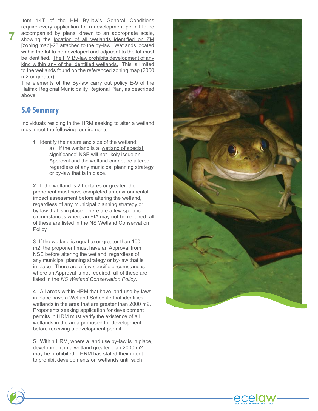Item 14T of the HM By-law's General Conditions require every application for a development permit to be accompanied by plans, drawn to an appropriate scale, showing the location of all wetlands identified on ZM [zoning map]-23 attached to the by-law. Wetlands located within the lot to be developed and adjacent to the lot must be identified. The HM By-law prohibits development of any kind within any of the identified wetlands. This is limited to the wetlands found on the referenced zoning map (2000 m2 or greater).

The elements of the By-law carry out policy E-9 of the Halifax Regional Municipality Regional Plan, as described above.

### **5.0 Summary**

**7**

Individuals residing in the HRM seeking to alter a wetland must meet the following requirements:

- **1** Identify the nature and size of the wetland:
	- a) If the wetland is a 'wetland of special significance' NSE will not likely issue an Approval and the wetland cannot be altered regardless of any municipal planning strategy or by-law that is in place.

2 If the wetland is 2 hectares or greater, the proponent must have completed an environmental impact assessment before altering the wetland, regardless of any municipal planning strategy or by-law that is in place. There are a few specific circumstances where an EIA may not be required; all of these are listed in the NS Wetland Conservation Policy.

3 If the wetland is equal to or greater than 100 m2, the proponent must have an Approval from NSE before altering the wetland, regardless of any municipal planning strategy or by-law that is in place. There are a few specific circumstances where an Approval is not required; all of these are listed in the *NS Wetland Conservation Policy*.

**4** All areas within HRM that have land-use by-laws in place have a Wetland Schedule that identifies wetlands in the area that are greater than 2000 m2. Proponents seeking application for development permits in HRM must verify the existence of all wetlands in the area proposed for development before receiving a development permit.

**5** Within HRM, where a land use by-law is in place, development in a wetland greater than 2000 m2 may be prohibited. HRM has stated their intent to prohibit developments on wetlands until such



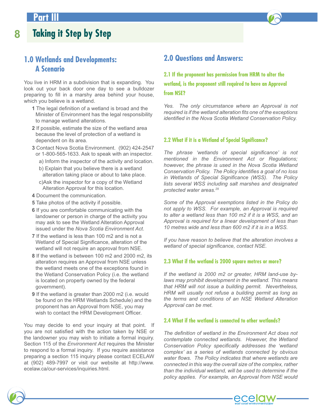### **1.0 Wetlands and Developments: A Scenario**

You live in HRM in a subdivision that is expanding. You look out your back door one day to see a bulldozer preparing to fill in a marshy area behind your house, which you believe is a wetland.

- **1** The legal definition of a wetland is broad and the Minister of Environment has the legal responsibility to manage wetland alterations.
- 2 If possible, estimate the size of the wetland area because the level of protection of a wetland is dependent on its area.
- **3** Contact Nova Scotia Environment. (902) 424-2547 or 1-800-565-1633. Ask to speak with an inspector.
	- a) Inform the inspector of the activity and location.
	- b) Explain that you believe there is a wetland alteration taking place or about to take place.
	- c)Ask the inspector for a copy of the Wetland Alteration Approval for this location.
- 4 Document the communication.
- **5** Take photos of the activity if possible.
- 6 If you are comfortable communicating with the landowner or person in charge of the activity you may ask to see the Wetland Alteration Approval issued under the *Nova Scotia Environment Act*.
- **7** If the wetland is less than 100 m2 and is not a Wetland of Special Significance, alteration of the wetland will not require an approval from NSE.
- 8 If the wetland is between 100 m2 and 2000 m2, its alteration requires an Approval from NSE unless the wetland meets one of the exceptions found in the Wetland Conservation Policy (i.e. the wetland is located on property owned by the federal government).
- **9** If the wetland is greater than 2000 m2 (i.e. would be found on the HRM Wetlands Schedule) and the proponent has an Approval from NSE, you may wish to contact the HRM Development Officer.

You may decide to end your inquiry at that point. If you are not satisfied with the action taken by NSE or the landowner you may wish to initiate a formal inquiry. Section 115 of the *Environment Act* requires the Minister to respond to a formal inquiry. If you require assistance preparing a section 115 inquiry please contact ECELAW at  $(902)$  489-7997 or visit our website at http://www. ecelaw.ca/our-services/inquiries.html.

### **2.0 Questions and Answers:**

**2.1 If the proponent has permission from HRM to alter the wetland, is the proponent still required to have an Approval from NSE?**

*Yes. The only circumstance where an Approval is not required is if the wetland alteration fits one of the exceptions* identified in the Nova Scotia Wetland Conservation Policy.

#### **2.2 What if it is a Wetland of Special Significance?**

The phrase 'wetlands of special significance' is not *mentioned in the Environment Act or Regulations; however, the phrase is used in the Nova Scotia Wetland*  Conservation Policy. The Policy identifies a goal of no loss in Wetlands of Special Significance (WSS). The Policy *lists several WSS including salt marshes and designated protected water areas.29* 

Some of the Approval exemptions listed in the Policy do not apply to WSS. For example, an Approval is required *to alter a wetland less than 100 m2 if it is a WSS, and an Approval is required for a linear development of less than 10 metres wide and less than 600 m2 if it is in a WSS.*

*If you have reason to believe that the alteration involves a*  wetland of special significance, contact NSE.

#### **2.3 What if the wetland is 2000 square metres or more?**

*If the wetland is 2000 m2 or greater, HRM land-use bylaws may prohibit development in the wetland. This means that HRM will not issue a building permit. Nevertheless, HRM will usually not refuse a building permit as long as the terms and conditions of an NSE Wetland Alteration Approval can be met.*

#### **2.4 What if the wetland is connected to other wetlands?**

The definition of wetland in the Environment Act does not *contemplate connected wetlands. However, the Wetland*  Conservation Policy specifically addresses the 'wetland complex' as a series of wetlands connected by obvious water flows. The Policy indicates that where wetlands are connected in this way the overall size of the complex, rather *than the individual wetland, will be used to determine if the*  policy applies. For example, an Approval from NSE would

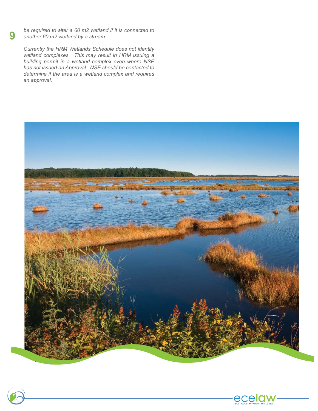*be required to alter a 60 m2 wetland if it is connected to another 60 m2 wetland by a stream.* 

*Currently the HRM Wetlands Schedule does not identify*  wetland complexes. This may result in HRM issuing a building permit in a wetland complex even where NSE *has not issued an Approval. NSE should be contacted to*  determine if the area is a wetland complex and requires *an approval.*





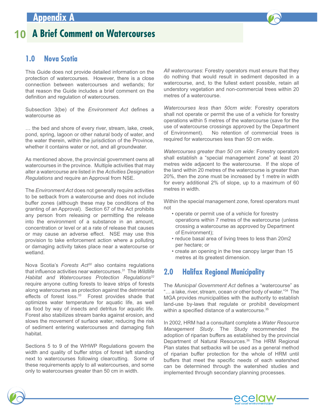# **10 A Brief Comment on Watercourses**

### **1.0 Nova Scotia**

This Guide does not provide detailed information on the protection of watercourses. However, there is a close connection between watercourses and wetlands; for that reason the Guide includes a brief comment on the definition and regulation of watercourses.

Subsection 3(be) of the *Environment Act* watercourse as

… the bed and shore of every river, stream, lake, creek, pond, spring, lagoon or other natural body of water, and the water therein, within the jurisdiction of the Province, whether it contains water or not, and all groundwater.

As mentioned above, the provincial government owns all watercourses in the province. Multiple activities that may alter a watercourse are listed in the *Activities Designation Regulations* and require an Approval from NSE.

The *Environment Act* does not generally require activities to be setback from a watercourse and does not include buffer zones (although these may be conditions of the granting of an Approval). Section 67 of the Act prohibits any person from releasing or permitting the release into the environment of a substance in an amount, concentration or level or at a rate of release that causes or may cause an adverse effect. NSE may use this provision to take enforcement action where a polluting or damaging activity takes place near a watercourse or wetland.

Nova Scotia's Forests Act<sup>30</sup> also contains regulations that influence activities near watercourses.<sup>31</sup> The *Wildlife Habitat and Watercourses Protection Regulations32* require anyone cutting forests to leave strips of forests along watercourses as protection against the detrimental effects of forest loss.<sup>33</sup> Forest provides shade that optimizes water temperature for aquatic life, as well as food by way of insects and detritus for aquatic life. Forest also stabilizes stream banks against erosion, and slows the movement of surface water, reducing the risk of sediment entering watercourses and damaging fish habitat.

Sections 5 to 9 of the WHWP Regulations govern the width and quality of buffer strips of forest left standing next to watercourses following clearcutting. Some of these requirements apply to all watercourses, and some only to watercourses greater than 50 cm in width.

*All watercourses*: Forestry operators must ensure that they do nothing that would result in sediment deposited in a watercourse, and, to the fullest extent possible, retain all understory vegetation and non-commercial trees within 20 metres of a watercourse.

*Watercourses less than 50cm wide*: Forestry operators shall not operate or permit the use of a vehicle for forestry operations within 5 metres of the watercourse (save for the use of watercourse crossings approved by the Department of Environment). No retention of commercial trees is required for watercourses less than 50 cm wide.

*Watercourses greater than 50 cm wide*: Forestry operators shall establish a "special management zone" at least 20 metres wide adjacent to the watercourse. If the slope of the land within 20 metres of the watercourse is greater than 20%, then the zone must be increased by 1 metre in width for every additional 2% of slope, up to a maximum of 60 metres in width.

Within the special management zone, forest operators must not

- operate or permit use of a vehicle for forestry operations within 7 metres of the watercourse (unless crossing a watercourse as approved by Department of Environment);
- reduce basal area of living trees to less than 20m2 per hectare; or
- create an opening in the tree canopy larger than 15 metres at its greatest dimension.

### **2.0 Halifax Regional Municipality**

The Municipal Government Act defines a "watercourse" as "... a lake, river, stream, ocean or other body of water."<sup>34</sup> The MGA provides municipalities with the authority to establish land-use by-laws that regulate or prohibit development within a specified distance of a watercourse. $^{35}$ 

In 2002, HRM had a consultant complete a Water Resource *Management Study*. The Study recommended the adoption of riparian buffers as established by the provincial Department of Natural Resources.<sup>36</sup> The HRM Regional Plan states that setbacks will be used as a general method of riparian buffer protection for the whole of HRM until buffers that meet the specific needs of each watershed can be determined through the watershed studies and implemented through secondary planning processes.

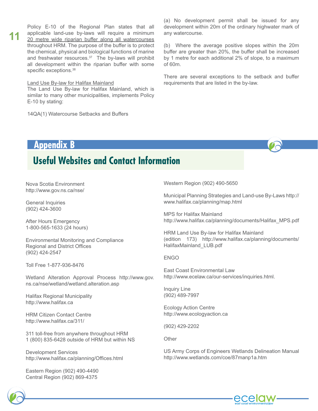Policy E-10 of the Regional Plan states that all applicable land-use by-laws will require a minimum 20 metre wide riparian buffer along all watercourses throughout HRM. The purpose of the buffer is to protect the chemical, physical and biological functions of marine and freshwater resources. $37$  The by-laws will prohibit all development within the riparian buffer with some specific exceptions. $^{38}$ 

#### <u>Land Use By-law for Halifax Mainland</u>

The Land Use By-law for Halifax Mainland, which is similar to many other municipalities, implements Policy E-10 by stating:

14QA(1) Watercourse Setbacks and Buffers

(a) No development permit shall be issued for any development within 20m of the ordinary highwater mark of any watercourse.

(b) Where the average positive slopes within the 20m buffer are greater than 20%, the buffer shall be increased by 1 metre for each additional 2% of slope, to a maximum  $of 60m.$ 

There are several exceptions to the setback and buffer requirements that are listed in the by-law.

### **Appendix B**

**11**

# **Useful Websites and Contact Information**

Nova Scotia Environment http://www.gov.ns.ca/nse/

General Inquiries  $(902)$  424-3600

After Hours Emergency 1-800-565-1633 (24 hours)

Environmental Monitoring and Compliance Regional and District Offices (902) 424-2547

Toll Free 1-877-936-8476

Wetland Alteration Approval Process http://www.gov. ns.ca/nse/wetland/wetland.alteration.asp

Halifax Regional Municipality http://www.halifax.ca

**HRM Citizen Contact Centre** http://www.halifax.ca/311/

311 toll-free from anywhere throughout HRM 1 (800) 835-6428 outside of HRM but within NS

Development Services http://www.halifax.ca/planning/Offices.html

Eastern Region (902) 490-4490 Central Region (902) 869-4375

Western Region (902) 490-5650

Municipal Planning Strategies and Land-use By-Laws http:// www.halifax.ca/planning/map.html

MPS for Halifax Mainland http://www.halifax.ca/planning/documents/Halifax\_MPS.pdf

HRM Land Use By-law for Halifax Mainland (edition 173) http://www.halifax.ca/planning/documents/ HalifaxMainland LUB.pdf

#### **FNGO**

East Coast Environmental Law http://www.ecelaw.ca/our-services/inquiries.html.

Inquiry Line  $(902)$  489-7997

Ecology Action Centre http://www.ecologyaction.ca

(902) 429-2202

Other

US Army Corps of Engineers Wetlands Delineation Manual http://www.wetlands.com/coe/87manp1a.htm